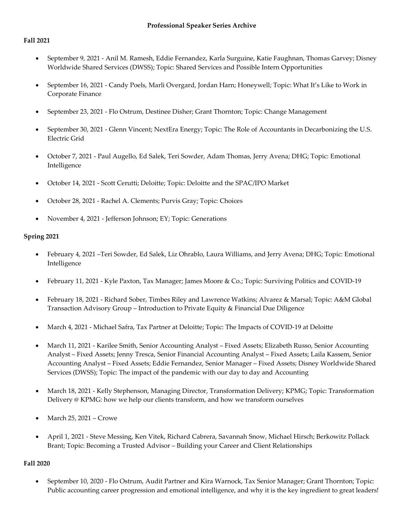#### **Fall 2021**

- September 9, 2021 Anil M. Ramesh, Eddie Fernandez, Karla Surguine, Katie Faughnan, Thomas Garvey; Disney Worldwide Shared Services (DWSS); Topic: Shared Services and Possible Intern Opportunities
- September 16, 2021 Candy Poels, Marli Overgard, Jordan Harn; Honeywell; Topic: What It's Like to Work in Corporate Finance
- September 23, 2021 Flo Ostrum, Destinee Disher; Grant Thornton; Topic: Change Management
- September 30, 2021 Glenn Vincent; NextEra Energy; Topic: The Role of Accountants in Decarbonizing the U.S. Electric Grid
- October 7, 2021 Paul Augello, Ed Salek, Teri Sowder, Adam Thomas, Jerry Avena; DHG; Topic: Emotional Intelligence
- October 14, 2021 Scott Cerutti; Deloitte; Topic: Deloitte and the SPAC/IPO Market
- October 28, 2021 Rachel A. Clements; Purvis Gray; Topic: Choices
- November 4, 2021 Jefferson Johnson; EY; Topic: Generations

## **Spring 2021**

- February 4, 2021 –Teri Sowder, Ed Salek, Liz Ohrablo, Laura Williams, and Jerry Avena; DHG; Topic: Emotional Intelligence
- February 11, 2021 Kyle Paxton, Tax Manager; James Moore & Co.; Topic: Surviving Politics and COVID-19
- February 18, 2021 Richard Sober, Timbes Riley and Lawrence Watkins; Alvarez & Marsal; Topic: A&M Global Transaction Advisory Group – Introduction to Private Equity & Financial Due Diligence
- March 4, 2021 Michael Safra, Tax Partner at Deloitte; Topic: The Impacts of COVID-19 at Deloitte
- March 11, 2021 Karilee Smith, Senior Accounting Analyst Fixed Assets; Elizabeth Russo, Senior Accounting Analyst – Fixed Assets; Jenny Tresca, Senior Financial Accounting Analyst – Fixed Assets; Laila Kassem, Senior Accounting Analyst – Fixed Assets; Eddie Fernandez, Senior Manager – Fixed Assets; Disney Worldwide Shared Services (DWSS); Topic: The impact of the pandemic with our day to day and Accounting
- March 18, 2021 Kelly Stephenson, Managing Director, Transformation Delivery; KPMG; Topic: Transformation Delivery @ KPMG: how we help our clients transform, and how we transform ourselves
- March 25, 2021 Crowe
- April 1, 2021 Steve Messing, Ken Vitek, Richard Cabrera, Savannah Snow, Michael Hirsch; Berkowitz Pollack Brant; Topic: Becoming a Trusted Advisor – Building your Career and Client Relationships

## **Fall 2020**

• September 10, 2020 - Flo Ostrum, Audit Partner and Kira Warnock, Tax Senior Manager; Grant Thornton; Topic: Public accounting career progression and emotional intelligence, and why it is the key ingredient to great leaders!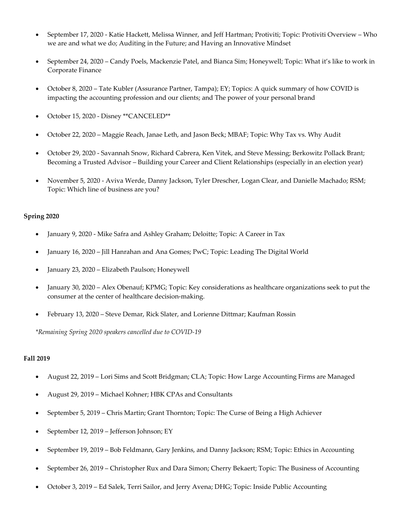- September 17, 2020 Katie Hackett, Melissa Winner, and Jeff Hartman; Protiviti; Topic: Protiviti Overview Who we are and what we do; Auditing in the Future; and Having an Innovative Mindset
- September 24, 2020 Candy Poels, Mackenzie Patel, and Bianca Sim; Honeywell; Topic: What it's like to work in Corporate Finance
- October 8, 2020 Tate Kubler (Assurance Partner, Tampa); EY; Topics: A quick summary of how COVID is impacting the accounting profession and our clients; and The power of your personal brand
- October 15, 2020 Disney \*\*CANCELED\*\*
- October 22, 2020 Maggie Reach, Janae Leth, and Jason Beck; MBAF; Topic: Why Tax vs. Why Audit
- October 29, 2020 Savannah Snow, Richard Cabrera, Ken Vitek, and Steve Messing; Berkowitz Pollack Brant; Becoming a Trusted Advisor – Building your Career and Client Relationships (especially in an election year)
- November 5, 2020 Aviva Werde, Danny Jackson, Tyler Drescher, Logan Clear, and Danielle Machado; RSM; Topic: Which line of business are you?

- January 9, 2020 Mike Safra and Ashley Graham; Deloitte; Topic: A Career in Tax
- January 16, 2020 Jill Hanrahan and Ana Gomes; PwC; Topic: Leading The Digital World
- January 23, 2020 Elizabeth Paulson; Honeywell
- January 30, 2020 Alex Obenauf; KPMG; Topic: Key considerations as healthcare organizations seek to put the consumer at the center of healthcare decision-making.
- February 13, 2020 Steve Demar, Rick Slater, and Lorienne Dittmar; Kaufman Rossin

*\*Remaining Spring 2020 speakers cancelled due to COVID-19*

## **Fall 2019**

- August 22, 2019 Lori Sims and Scott Bridgman; CLA; Topic: How Large Accounting Firms are Managed
- August 29, 2019 Michael Kohner; HBK CPAs and Consultants
- September 5, 2019 Chris Martin; Grant Thornton; Topic: The Curse of Being a High Achiever
- September 12, 2019 Jefferson Johnson; EY
- September 19, 2019 Bob Feldmann, Gary Jenkins, and Danny Jackson; RSM; Topic: Ethics in Accounting
- September 26, 2019 Christopher Rux and Dara Simon; Cherry Bekaert; Topic: The Business of Accounting
- October 3, 2019 Ed Salek, Terri Sailor, and Jerry Avena; DHG; Topic: Inside Public Accounting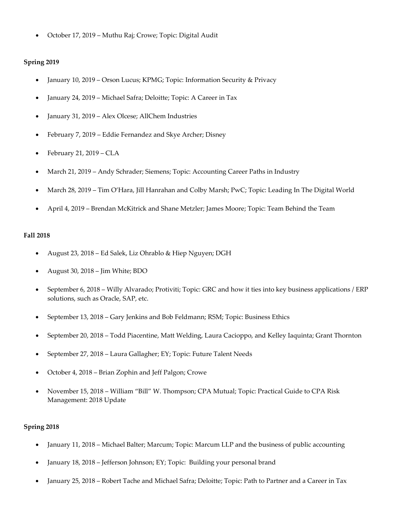• October 17, 2019 – Muthu Raj; Crowe; Topic: Digital Audit

#### **Spring 2019**

- January 10, 2019 Orson Lucus; KPMG; Topic: Information Security & Privacy
- January 24, 2019 Michael Safra; Deloitte; Topic: A Career in Tax
- January 31, 2019 Alex Olcese; AllChem Industries
- February 7, 2019 Eddie Fernandez and Skye Archer; Disney
- February 21, 2019 CLA
- March 21, 2019 Andy Schrader; Siemens; Topic: Accounting Career Paths in Industry
- March 28, 2019 Tim O'Hara, Jill Hanrahan and Colby Marsh; PwC; Topic: Leading In The Digital World
- April 4, 2019 Brendan McKitrick and Shane Metzler; James Moore; Topic: Team Behind the Team

#### **Fall 2018**

- August 23, 2018 Ed Salek, Liz Ohrablo & Hiep Nguyen; DGH
- August 30, 2018 Jim White; BDO
- September 6, 2018 Willy Alvarado; Protiviti; Topic: GRC and how it ties into key business applications / ERP solutions, such as Oracle, SAP, etc.
- September 13, 2018 Gary Jenkins and Bob Feldmann; RSM; Topic: Business Ethics
- September 20, 2018 Todd Piacentine, Matt Welding, Laura Cacioppo, and Kelley Iaquinta; Grant Thornton
- September 27, 2018 Laura Gallagher; EY; Topic: Future Talent Needs
- October 4, 2018 Brian Zophin and Jeff Palgon; Crowe
- November 15, 2018 William "Bill" W. Thompson; CPA Mutual; Topic: Practical Guide to CPA Risk Management: 2018 Update

#### **Spring 2018**

- January 11, 2018 Michael Balter; Marcum; Topic: Marcum LLP and the business of public accounting
- January 18, 2018 Jefferson Johnson; EY; Topic: Building your personal brand
- January 25, 2018 Robert Tache and Michael Safra; Deloitte; Topic: Path to Partner and a Career in Tax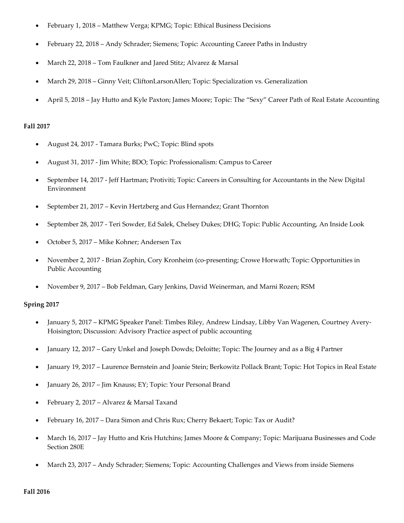- February 1, 2018 Matthew Verga; KPMG; Topic: Ethical Business Decisions
- February 22, 2018 Andy Schrader; Siemens; Topic: Accounting Career Paths in Industry
- March 22, 2018 Tom Faulkner and Jared Stitz; Alvarez & Marsal
- March 29, 2018 Ginny Veit; CliftonLarsonAllen; Topic: Specialization vs. Generalization
- April 5, 2018 Jay Hutto and Kyle Paxton; James Moore; Topic: The "Sexy" Career Path of Real Estate Accounting

#### **Fall 2017**

- August 24, 2017 Tamara Burks; PwC; Topic: Blind spots
- August 31, 2017 Jim White; BDO; Topic: Professionalism: Campus to Career
- September 14, 2017 Jeff Hartman; Protiviti; Topic: Careers in Consulting for Accountants in the New Digital Environment
- September 21, 2017 Kevin Hertzberg and Gus Hernandez; Grant Thornton
- September 28, 2017 Teri Sowder, Ed Salek, Chelsey Dukes; DHG; Topic: Public Accounting, An Inside Look
- October 5, 2017 Mike Kohner; Andersen Tax
- November 2, 2017 Brian Zophin, Cory Kronheim (co-presenting; Crowe Horwath; Topic: Opportunities in Public Accounting
- November 9, 2017 Bob Feldman, Gary Jenkins, David Weinerman, and Marni Rozen; RSM

## **Spring 2017**

- January 5, 2017 KPMG Speaker Panel: Timbes Riley, Andrew Lindsay, Libby Van Wagenen, Courtney Avery-Hoisington; Discussion: Advisory Practice aspect of public accounting
- January 12, 2017 Gary Unkel and Joseph Dowds; Deloitte; Topic: The Journey and as a Big 4 Partner
- January 19, 2017 Laurence Bernstein and Joanie Stein; Berkowitz Pollack Brant; Topic: Hot Topics in Real Estate
- January 26, 2017 Jim Knauss; EY; Topic: Your Personal Brand
- February 2, 2017 Alvarez & Marsal Taxand
- February 16, 2017 Dara Simon and Chris Rux; Cherry Bekaert; Topic: Tax or Audit?
- March 16, 2017 Jay Hutto and Kris Hutchins; James Moore & Company; Topic: Marijuana Businesses and Code Section 280E
- March 23, 2017 Andy Schrader; Siemens; Topic: Accounting Challenges and Views from inside Siemens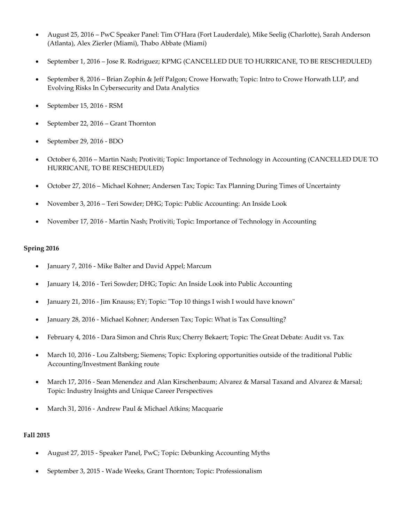- August 25, 2016 PwC Speaker Panel: Tim O'Hara (Fort Lauderdale), Mike Seelig (Charlotte), Sarah Anderson (Atlanta), Alex Zierler (Miami), Thabo Abbate (Miami)
- September 1, 2016 Jose R. Rodriguez; KPMG (CANCELLED DUE TO HURRICANE, TO BE RESCHEDULED)
- September 8, 2016 Brian Zophin & Jeff Palgon; Crowe Horwath; Topic: Intro to Crowe Horwath LLP, and Evolving Risks In Cybersecurity and Data Analytics
- September 15, 2016 RSM
- September 22, 2016 Grant Thornton
- September 29, 2016 BDO
- October 6, 2016 Martin Nash; Protiviti; Topic: Importance of Technology in Accounting (CANCELLED DUE TO HURRICANE, TO BE RESCHEDULED)
- October 27, 2016 Michael Kohner; Andersen Tax; Topic: Tax Planning During Times of Uncertainty
- November 3, 2016 Teri Sowder; DHG; Topic: Public Accounting: An Inside Look
- November 17, 2016 Martin Nash; Protiviti; Topic: Importance of Technology in Accounting

- January 7, 2016 Mike Balter and David Appel; Marcum
- January 14, 2016 Teri Sowder; DHG; Topic: An Inside Look into Public Accounting
- January 21, 2016 Jim Knauss; EY; Topic: "Top 10 things I wish I would have known"
- January 28, 2016 Michael Kohner; Andersen Tax; Topic: What is Tax Consulting?
- February 4, 2016 Dara Simon and Chris Rux; Cherry Bekaert; Topic: The Great Debate: Audit vs. Tax
- March 10, 2016 Lou Zaltsberg; Siemens; Topic: Exploring opportunities outside of the traditional Public Accounting/Investment Banking route
- March 17, 2016 Sean Menendez and Alan Kirschenbaum; Alvarez & Marsal Taxand and Alvarez & Marsal; Topic: Industry Insights and Unique Career Perspectives
- March 31, 2016 Andrew Paul & Michael Atkins; Macquarie

## **Fall 2015**

- August 27, 2015 Speaker Panel, PwC; Topic: Debunking Accounting Myths
- September 3, 2015 Wade Weeks, Grant Thornton; Topic: Professionalism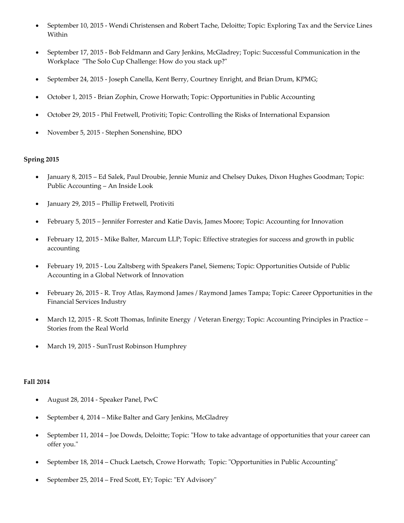- September 10, 2015 Wendi Christensen and Robert Tache, Deloitte; Topic: Exploring Tax and the Service Lines Within
- September 17, 2015 Bob Feldmann and Gary Jenkins, McGladrey; Topic: Successful Communication in the Workplace "The Solo Cup Challenge: How do you stack up?"
- September 24, 2015 Joseph Canella, Kent Berry, Courtney Enright, and Brian Drum, KPMG;
- October 1, 2015 Brian Zophin, Crowe Horwath; Topic: Opportunities in Public Accounting
- October 29, 2015 Phil Fretwell, Protiviti; Topic: Controlling the Risks of International Expansion
- November 5, 2015 Stephen Sonenshine, BDO

- January 8, 2015 Ed Salek, Paul Droubie, Jennie Muniz and Chelsey Dukes, Dixon Hughes Goodman; Topic: Public Accounting – An Inside Look
- January 29, 2015 Phillip Fretwell, Protiviti
- February 5, 2015 Jennifer Forrester and Katie Davis, James Moore; Topic: Accounting for Innovation
- February 12, 2015 Mike Balter, Marcum LLP; Topic: Effective strategies for success and growth in public accounting
- February 19, 2015 Lou Zaltsberg with Speakers Panel, Siemens; Topic: Opportunities Outside of Public Accounting in a Global Network of Innovation
- February 26, 2015 R. Troy Atlas, Raymond James / Raymond James Tampa; Topic: Career Opportunities in the Financial Services Industry
- March 12, 2015 R. Scott Thomas, Infinite Energy / Veteran Energy; Topic: Accounting Principles in Practice Stories from the Real World
- March 19, 2015 SunTrust Robinson Humphrey

## **Fall 2014**

- August 28, 2014 Speaker Panel, PwC
- September 4, 2014 Mike Balter and Gary Jenkins, McGladrey
- September 11, 2014 Joe Dowds, Deloitte; Topic: "How to take advantage of opportunities that your career can offer you."
- September 18, 2014 Chuck Laetsch, Crowe Horwath; Topic: "Opportunities in Public Accounting"
- September 25, 2014 Fred Scott, EY; Topic: "EY Advisory"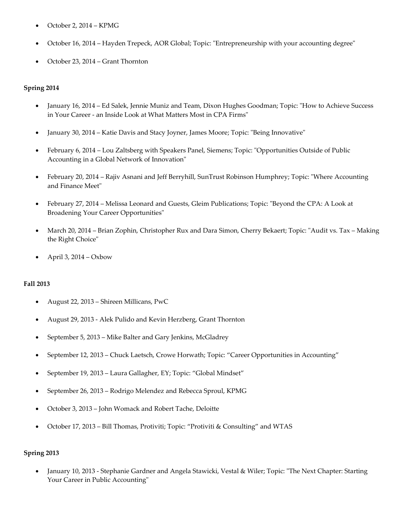- October 2, 2014 KPMG
- October 16, 2014 Hayden Trepeck, AOR Global; Topic: "Entrepreneurship with your accounting degree"
- October 23, 2014 Grant Thornton

- January 16, 2014 Ed Salek, Jennie Muniz and Team, Dixon Hughes Goodman; Topic: "How to Achieve Success in Your Career - an Inside Look at What Matters Most in CPA Firms"
- January 30, 2014 Katie Davis and Stacy Joyner, James Moore; Topic: "Being Innovative"
- February 6, 2014 Lou Zaltsberg with Speakers Panel, Siemens; Topic: "Opportunities Outside of Public Accounting in a Global Network of Innovation"
- February 20, 2014 Rajiv Asnani and Jeff Berryhill, SunTrust Robinson Humphrey; Topic: "Where Accounting and Finance Meet"
- February 27, 2014 Melissa Leonard and Guests, Gleim Publications; Topic: "Beyond the CPA: A Look at Broadening Your Career Opportunities"
- March 20, 2014 Brian Zophin, Christopher Rux and Dara Simon, Cherry Bekaert; Topic: "Audit vs. Tax Making the Right Choice"
- April 3, 2014 Oxbow

# **Fall 2013**

- August 22, 2013 Shireen Millicans, PwC
- August 29, 2013 Alek Pulido and Kevin Herzberg, Grant Thornton
- September 5, 2013 Mike Balter and Gary Jenkins, McGladrey
- September 12, 2013 Chuck Laetsch, Crowe Horwath; Topic: "Career Opportunities in Accounting"
- September 19, 2013 Laura Gallagher, EY; Topic: "Global Mindset"
- September 26, 2013 Rodrigo Melendez and Rebecca Sproul, KPMG
- October 3, 2013 John Womack and Robert Tache, Deloitte
- October 17, 2013 Bill Thomas, Protiviti; Topic: "Protiviti & Consulting" and WTAS

## **Spring 2013**

• January 10, 2013 - Stephanie Gardner and Angela Stawicki, Vestal & Wiler; Topic: "The Next Chapter: Starting Your Career in Public Accounting"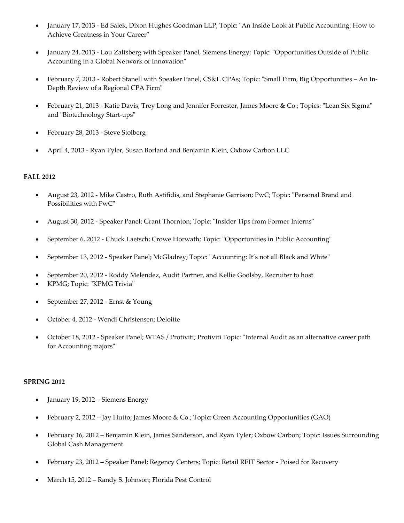- January 17, 2013 Ed Salek, Dixon Hughes Goodman LLP; Topic: "An Inside Look at Public Accounting: How to Achieve Greatness in Your Career"
- January 24, 2013 Lou Zaltsberg with Speaker Panel, Siemens Energy; Topic: "Opportunities Outside of Public Accounting in a Global Network of Innovation"
- February 7, 2013 Robert Stanell with Speaker Panel, CS&L CPAs; Topic: "Small Firm, Big Opportunities An In-Depth Review of a Regional CPA Firm"
- February 21, 2013 Katie Davis, Trey Long and Jennifer Forrester, James Moore & Co.; Topics: "Lean Six Sigma" and "Biotechnology Start-ups"
- February 28, 2013 Steve Stolberg
- April 4, 2013 Ryan Tyler, Susan Borland and Benjamin Klein, Oxbow Carbon LLC

## **FALL 2012**

- August 23, 2012 Mike Castro, Ruth Astifidis, and Stephanie Garrison; PwC; Topic: "Personal Brand and Possibilities with PwC"
- August 30, 2012 Speaker Panel; Grant Thornton; Topic: "Insider Tips from Former Interns"
- September 6, 2012 Chuck Laetsch; Crowe Horwath; Topic: "Opportunities in Public Accounting"
- September 13, 2012 Speaker Panel; McGladrey; Topic: "Accounting: It's not all Black and White"
- September 20, 2012 Roddy Melendez, Audit Partner, and Kellie Goolsby, Recruiter to host
- KPMG; Topic: "KPMG Trivia"
- September 27, 2012 Ernst & Young
- October 4, 2012 Wendi Christensen; Deloitte
- October 18, 2012 Speaker Panel; WTAS / Protiviti; Protiviti Topic: "Internal Audit as an alternative career path for Accounting majors"

## **SPRING 2012**

- January 19, 2012 Siemens Energy
- February 2, 2012 Jay Hutto; James Moore & Co.; Topic: Green Accounting Opportunities (GAO)
- February 16, 2012 Benjamin Klein, James Sanderson, and Ryan Tyler; Oxbow Carbon; Topic: Issues Surrounding Global Cash Management
- February 23, 2012 Speaker Panel; Regency Centers; Topic: Retail REIT Sector Poised for Recovery
- March 15, 2012 Randy S. Johnson; Florida Pest Control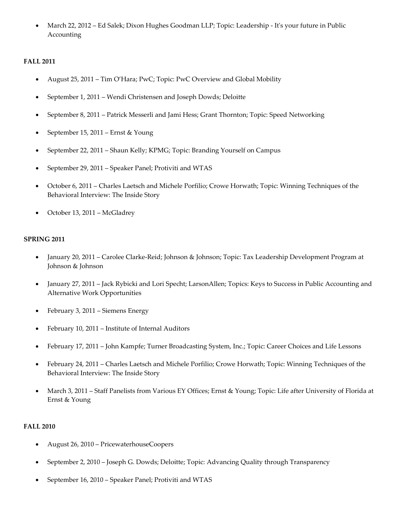• March 22, 2012 – Ed Salek; Dixon Hughes Goodman LLP; Topic: Leadership - It's your future in Public Accounting

## **FALL 2011**

- August 25, 2011 Tim O'Hara; PwC; Topic: PwC Overview and Global Mobility
- September 1, 2011 Wendi Christensen and Joseph Dowds; Deloitte
- September 8, 2011 Patrick Messerli and Jami Hess; Grant Thornton; Topic: Speed Networking
- September 15, 2011 Ernst & Young
- September 22, 2011 Shaun Kelly; KPMG; Topic: Branding Yourself on Campus
- September 29, 2011 Speaker Panel; Protiviti and WTAS
- October 6, 2011 Charles Laetsch and Michele Porfilio; Crowe Horwath; Topic: Winning Techniques of the Behavioral Interview: The Inside Story
- October 13, 2011 McGladrey

#### **SPRING 2011**

- January 20, 2011 Carolee Clarke-Reid; Johnson & Johnson; Topic: Tax Leadership Development Program at Johnson & Johnson
- January 27, 2011 Jack Rybicki and Lori Specht; LarsonAllen; Topics: Keys to Success in Public Accounting and Alternative Work Opportunities
- February 3, 2011 Siemens Energy
- February 10, 2011 Institute of Internal Auditors
- February 17, 2011 John Kampfe; Turner Broadcasting System, Inc.; Topic: Career Choices and Life Lessons
- February 24, 2011 Charles Laetsch and Michele Porfilio; Crowe Horwath; Topic: Winning Techniques of the Behavioral Interview: The Inside Story
- March 3, 2011 Staff Panelists from Various EY Offices; Ernst & Young; Topic: Life after University of Florida at Ernst & Young

#### **FALL 2010**

- August 26, 2010 PricewaterhouseCoopers
- September 2, 2010 Joseph G. Dowds; Deloitte; Topic: Advancing Quality through Transparency
- September 16, 2010 Speaker Panel; Protiviti and WTAS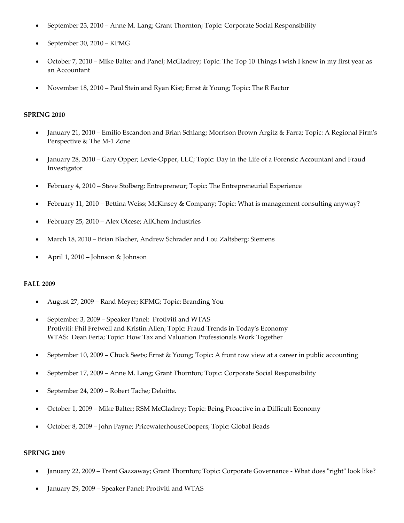- September 23, 2010 Anne M. Lang; Grant Thornton; Topic: Corporate Social Responsibility
- September 30, 2010 KPMG
- October 7, 2010 Mike Balter and Panel; McGladrey; Topic: The Top 10 Things I wish I knew in my first year as an Accountant
- November 18, 2010 Paul Stein and Ryan Kist; Ernst & Young; Topic: The R Factor

#### **SPRING 2010**

- January 21, 2010 Emilio Escandon and Brian Schlang; Morrison Brown Argitz & Farra; Topic: A Regional Firm's Perspective & The M-1 Zone
- January 28, 2010 Gary Opper; Levie-Opper, LLC; Topic: Day in the Life of a Forensic Accountant and Fraud Investigator
- February 4, 2010 Steve Stolberg; Entrepreneur; Topic: The Entrepreneurial Experience
- February 11, 2010 Bettina Weiss; McKinsey & Company; Topic: What is management consulting anyway?
- February 25, 2010 Alex Olcese; AllChem Industries
- March 18, 2010 Brian Blacher, Andrew Schrader and Lou Zaltsberg; Siemens
- April 1, 2010 Johnson & Johnson

#### **FALL 2009**

- August 27, 2009 Rand Meyer; KPMG; Topic: Branding You
- September 3, 2009 Speaker Panel: Protiviti and WTAS Protiviti: Phil Fretwell and Kristin Allen; Topic: Fraud Trends in Today's Economy WTAS: Dean Feria; Topic: How Tax and Valuation Professionals Work Together
- September 10, 2009 Chuck Seets; Ernst & Young; Topic: A front row view at a career in public accounting
- September 17, 2009 Anne M. Lang; Grant Thornton; Topic: Corporate Social Responsibility
- September 24, 2009 Robert Tache; Deloitte.
- October 1, 2009 Mike Balter; RSM McGladrey; Topic: Being Proactive in a Difficult Economy
- October 8, 2009 John Payne; PricewaterhouseCoopers; Topic: Global Beads

#### **SPRING 2009**

- January 22, 2009 Trent Gazzaway; Grant Thornton; Topic: Corporate Governance What does "right" look like?
- January 29, 2009 Speaker Panel: Protiviti and WTAS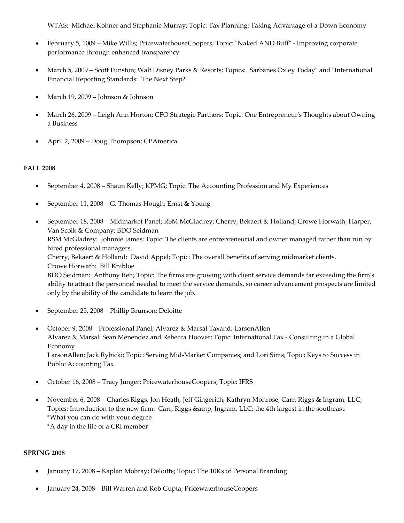WTAS: Michael Kohner and Stephanie Murray; Topic: Tax Planning: Taking Advantage of a Down Economy

- February 5, 1009 Mike Willis; PricewaterhouseCoopers; Topic: "Naked AND Buff" Improving corporate performance through enhanced transparency
- March 5, 2009 Scott Funston; Walt Disney Parks & Resorts; Topics: "Sarbanes Oxley Today" and "International Financial Reporting Standards: The Next Step?"
- March 19, 2009 Johnson & Johnson
- March 26, 2009 Leigh Ann Horton; CFO Strategic Partners; Topic: One Entrepreneur's Thoughts about Owning a Business
- April 2, 2009 Doug Thompson; CPAmerica

## **FALL 2008**

- September 4, 2008 Shaun Kelly; KPMG; Topic: The Accounting Profession and My Experiences
- September 11, 2008 G. Thomas Hough; Ernst & Young
- September 18, 2008 Midmarket Panel; RSM McGladrey; Cherry, Bekaert & Holland; Crowe Horwath; Harper, Van Scoik & Company; BDO Seidman RSM McGladrey: Johnnie James; Topic: The clients are entrepreneurial and owner managed rather than run by hired professional managers. Cherry, Bekaert & Holland: David Appel; Topic: The overall benefits of serving midmarket clients. Crowe Horwath: Bill Knibloe BDO Seidman: Anthony Reh; Topic: The firms are growing with client service demands far exceeding the firm's ability to attract the personnel needed to meet the service demands, so career advancement prospects are limited only by the ability of the candidate to learn the job.
- September 25, 2008 Phillip Brunson; Deloitte
- October 9, 2008 Professional Panel; Alvarez & Marsal Taxand; LarsonAllen Alvarez & Marsal: Sean Menendez and Rebecca Hoover; Topic: International Tax - Consulting in a Global Economy LarsonAllen: Jack Rybicki; Topic: Serving Mid-Market Companies; and Lori Sims; Topic: Keys to Success in Public Accounting Tax
- October 16, 2008 Tracy Junger; PricewaterhouseCoopers; Topic: IFRS
- November 6, 2008 Charles Riggs, Jon Heath, Jeff Gingerich, Kathryn Monrose; Carr, Riggs & Ingram, LLC; Topics: Introduction to the new firm: Carr, Riggs & amp; Ingram, LLC; the 4th largest in the southeast: \*What you can do with your degree \*A day in the life of a CRI member

## **SPRING 2008**

- January 17, 2008 Kaplan Mobray; Deloitte; Topic: The 10Ks of Personal Branding
- January 24, 2008 Bill Warren and Rob Gupta; PricewaterhouseCoopers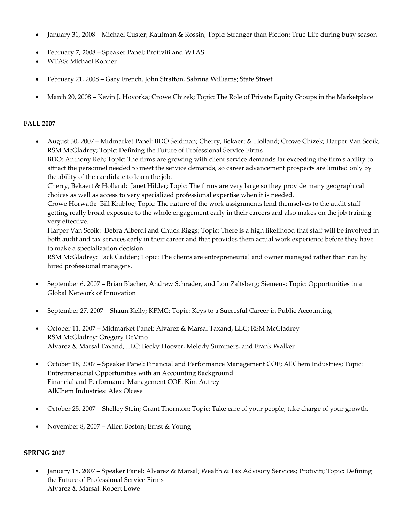- January 31, 2008 Michael Custer; Kaufman & Rossin; Topic: Stranger than Fiction: True Life during busy season
- February 7, 2008 Speaker Panel; Protiviti and WTAS
- WTAS: Michael Kohner
- February 21, 2008 Gary French, John Stratton, Sabrina Williams; State Street
- March 20, 2008 Kevin J. Hovorka; Crowe Chizek; Topic: The Role of Private Equity Groups in the Marketplace

#### **FALL 2007**

• August 30, 2007 – Midmarket Panel: BDO Seidman; Cherry, Bekaert & Holland; Crowe Chizek; Harper Van Scoik; RSM McGladrey; Topic: Defining the Future of Professional Service Firms BDO: Anthony Reh; Topic: The firms are growing with client service demands far exceeding the firm's ability to attract the personnel needed to meet the service demands, so career advancement prospects are limited only by the ability of the candidate to learn the job.

Cherry, Bekaert & Holland: Janet Hilder; Topic: The firms are very large so they provide many geographical choices as well as access to very specialized professional expertise when it is needed.

Crowe Horwath: Bill Knibloe; Topic: The nature of the work assignments lend themselves to the audit staff getting really broad exposure to the whole engagement early in their careers and also makes on the job training very effective.

Harper Van Scoik: Debra Alberdi and Chuck Riggs; Topic: There is a high likelihood that staff will be involved in both audit and tax services early in their career and that provides them actual work experience before they have to make a specialization decision.

RSM McGladrey: Jack Cadden; Topic: The clients are entrepreneurial and owner managed rather than run by hired professional managers.

- September 6, 2007 Brian Blacher, Andrew Schrader, and Lou Zaltsberg; Siemens; Topic: Opportunities in a Global Network of Innovation
- September 27, 2007 Shaun Kelly; KPMG; Topic: Keys to a Succesful Career in Public Accounting
- October 11, 2007 Midmarket Panel: Alvarez & Marsal Taxand, LLC; RSM McGladrey RSM McGladrey: Gregory DeVino Alvarez & Marsal Taxand, LLC: Becky Hoover, Melody Summers, and Frank Walker
- October 18, 2007 Speaker Panel: Financial and Performance Management COE; AllChem Industries; Topic: Entrepreneurial Opportunities with an Accounting Background Financial and Performance Management COE: Kim Autrey AllChem Industries: Alex Olcese
- October 25, 2007 Shelley Stein; Grant Thornton; Topic: Take care of your people; take charge of your growth.
- November 8, 2007 Allen Boston; Ernst & Young

#### **SPRING 2007**

• January 18, 2007 – Speaker Panel: Alvarez & Marsal; Wealth & Tax Advisory Services; Protiviti; Topic: Defining the Future of Professional Service Firms Alvarez & Marsal: Robert Lowe